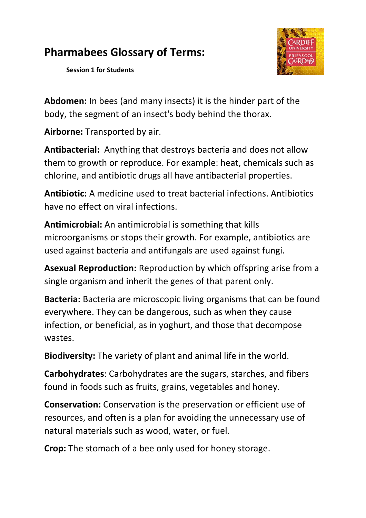## **Pharmabees Glossary of Terms:**

**Session 1 for Students**



**Abdomen:** In bees (and many insects) it is the hinder part of the body, the segment of an insect's body behind the thorax.

**Airborne:** Transported by air.

**Antibacterial:** Anything that destroys bacteria and does not allow them to growth or reproduce. For example: heat, chemicals such as chlorine, and antibiotic drugs all have antibacterial properties.

**Antibiotic:** A medicine used to treat bacterial infections. Antibiotics have no effect on viral infections.

**Antimicrobial:** An antimicrobial is something that kills microorganisms or stops their growth. For example, antibiotics are used against bacteria and antifungals are used against fungi.

**Asexual Reproduction:** Reproduction by which offspring arise from a single organism and inherit the genes of that parent only.

**Bacteria:** Bacteria are microscopic living organisms that can be found everywhere. They can be dangerous, such as when they cause infection, or beneficial, as in yoghurt, and those that decompose wastes.

**Biodiversity:** The variety of plant and animal life in the world.

**Carbohydrates**: Carbohydrates are the sugars, starches, and fibers found in foods such as fruits, grains, vegetables and honey.

**Conservation:** Conservation is the preservation or efficient use of resources, and often is a plan for avoiding the unnecessary use of natural materials such as wood, water, or fuel.

**Crop:** The stomach of a bee only used for honey storage.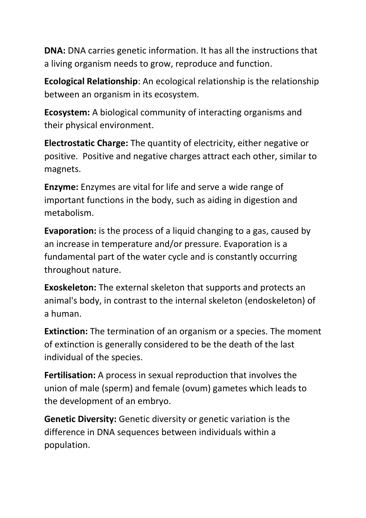**DNA:** DNA carries genetic information. It has all the instructions that a living organism needs to grow, reproduce and function.

**Ecological Relationship**: An ecological relationship is the relationship between an organism in its ecosystem.

**Ecosystem:** A biological community of interacting organisms and their physical environment.

**Electrostatic Charge:** The quantity of electricity, either negative or positive. Positive and negative charges attract each other, similar to magnets.

**Enzyme:** Enzymes are vital for life and serve a wide range of important functions in the body, such as aiding in digestion and metabolism.

**Evaporation:** is the process of a liquid changing to a gas, caused by an increase in temperature and/or pressure. Evaporation is a fundamental part of the water cycle and is constantly occurring throughout nature.

**Exoskeleton:** The external skeleton that supports and protects an animal's body, in contrast to the internal skeleton (endoskeleton) of a human.

**Extinction:** The termination of an organism or a species. The moment of extinction is generally considered to be the death of the last individual of the species.

**Fertilisation:** A process in sexual reproduction that involves the union of male (sperm) and female (ovum) gametes which leads to the development of an embryo.

**Genetic Diversity:** Genetic diversity or genetic variation is the difference in DNA sequences between individuals within a population.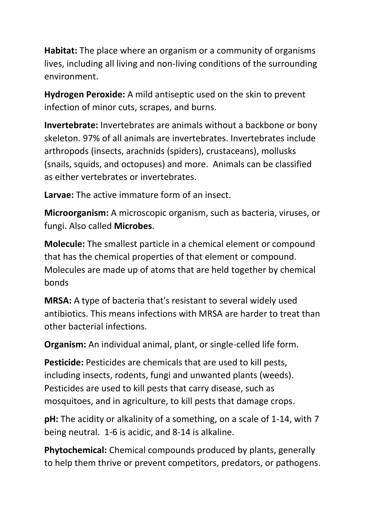**Habitat:** The place where an organism or a community of organisms lives, including all living and non-living conditions of the surrounding environment.

**Hydrogen Peroxide:** A mild antiseptic used on the skin to prevent infection of minor cuts, scrapes, and burns.

**Invertebrate:** Invertebrates are animals without a backbone or bony skeleton. 97% of all animals are invertebrates. Invertebrates include arthropods (insects, arachnids (spiders), crustaceans), mollusks (snails, squids, and octopuses) and more. Animals can be classified as either vertebrates or invertebrates.

**Larvae:** The active immature form of an insect.

**Microorganism:** A microscopic organism, such as bacteria, viruses, or fungi. Also called **Microbes**.

**Molecule:** The smallest particle in a chemical element or compound that has the chemical properties of that element or compound. Molecules are made up of atoms that are held together by chemical bonds

**MRSA:** A type of bacteria that's resistant to several widely used antibiotics. This means infections with MRSA are harder to treat than other bacterial infections.

**Organism:** An individual animal, plant, or single-celled life form.

**Pesticide:** Pesticides are chemicals that are used to kill pests, including insects, rodents, fungi and unwanted plants (weeds). Pesticides are used to kill pests that carry disease, such as mosquitoes, and in agriculture, to kill pests that damage crops.

**pH:** The acidity or alkalinity of a something, on a scale of 1-14, with 7 being neutral. 1-6 is acidic, and 8-14 is alkaline.

**Phytochemical:** Chemical compounds produced by plants, generally to help them thrive or prevent competitors, predators, or pathogens.